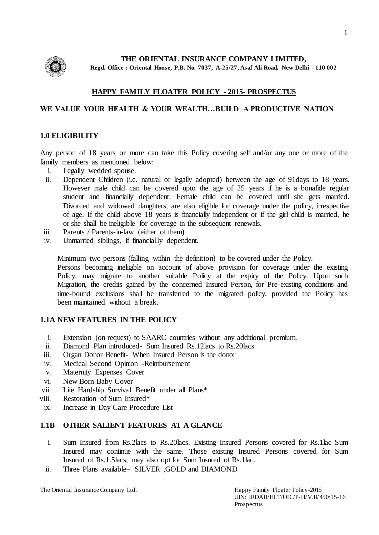

**THE ORIENTAL INSURANCE COMPANY LIMITED, Regd. Office : Oriental House, P.B. No. 7037, A-25/27, Asaf Ali Road, New Delhi - 110 002**

# **HAPPY FAMILY FLOATER POLICY - 2015- PROSPECTUS**

## **WE VALUE YOUR HEALTH & YOUR WEALTH…BUILD A PRODUCTIVE NATION**

## **1.0 ELIGIBILITY**

Any person of 18 years or more can take this Policy covering self and/or any one or more of the family members as mentioned below:

- i. Legally wedded spouse.
- ii. Dependent Children (i.e. natural or legally adopted) between the age of 91 days to 18 years. However male child can be covered upto the age of 25 years if he is a bonafide regular student and financially dependent. Female child can be covered until she gets married. Divorced and widowed daughters, are also eligible for coverage under the policy, irrespective of age. If the child above 18 years is financially independent or if the girl child is married, he or she shall be ineligible for coverage in the subsequent renewals.
- iii. Parents / Parents-in-law (either of them).
- iv. Unmarried siblings, if financially dependent.

Minimum two persons (falling within the definition) to be covered under the Policy.

Persons becoming ineligible on account of above provision for coverage under the existing Policy, may migrate to another suitable Policy at the expiry of the Policy. Upon such Migration, the credits gained by the concerned Insured Person, for Pre-existing conditions and time-bound exclusions shall be transferred to the migrated policy, provided the Policy has been maintained without a break.

## **1.1A NEW FEATURES IN THE POLICY**

- i. Extension (on request) to SAARC countries without any additional premium.
- ii. Diamond Plan introduced- Sum Insured Rs.12lacs to Rs.20lacs
- iii. Organ Donor Benefit- When Insured Person is the donor
- iv. Medical Second Opinion -Reimbursement
- v. Maternity Expenses Cover
- vi. New Born Baby Cover
- vii. Life Hardship Survival Benefit under all Plans\*
- viii. Restoration of Sum Insured\*
- ix. Increase in Day Care Procedure List

## **1.1B OTHER SALIENT FEATURES AT A GLANCE**

- i. Sum Insured from Rs.2lacs to Rs.20lacs. Existing Insured Persons covered for Rs.1lac Sum Insured may continue with the same. Those existing Insured Persons covered for Sum Insured of Rs.1.5lacs, may also opt for Sum Insured of Rs.1lac.
- ii. Three Plans available– SILVER ,GOLD and DIAMOND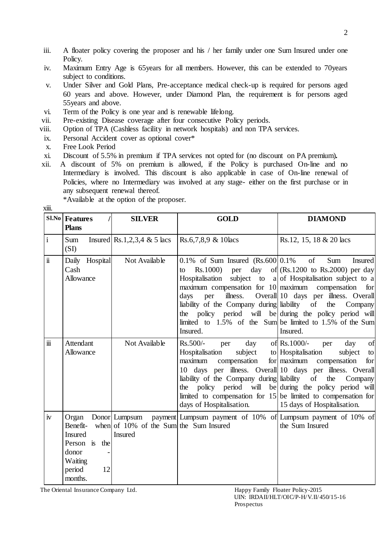- iii. A floater policy covering the proposer and his / her family under one Sum Insured under one Policy.
- iv. Maximum Entry Age is 65years for all members. However, this can be extended to 70years subject to conditions.
- v. Under Silver and Gold Plans, Pre-acceptance medical check-up is required for persons aged 60 years and above. However, under Diamond Plan, the requirement is for persons aged 55years and above.
- vi. Term of the Policy is one year and is renewable lifelong.
- vii. Pre-existing Disease coverage after four consecutive Policy periods.
- viii. Option of TPA (Cashless facility in network hospitals) and non TPA services.
- ix. Personal Accident cover as optional cover\*
- x. Free Look Period
- xi. Discount of 5.5% in premium if TPA services not opted for (no discount on PA premium)*.*
- xii. A discount of 5% on premium is allowed, if the Policy is purchased On-line and no Intermediary is involved. This discount is also applicable in case of On-line renewal of Policies, where no Intermediary was involved at any stage- either on the first purchase or in any subsequent renewal thereof.

| *Available at the option of the proposer. |  |  |  |  |
|-------------------------------------------|--|--|--|--|
|-------------------------------------------|--|--|--|--|

| xiii.                |                                                                                                     |                                                                    |                                                                                                                                                                                                                                                                                                                                                   |                                                                                                                                                                                                                    |
|----------------------|-----------------------------------------------------------------------------------------------------|--------------------------------------------------------------------|---------------------------------------------------------------------------------------------------------------------------------------------------------------------------------------------------------------------------------------------------------------------------------------------------------------------------------------------------|--------------------------------------------------------------------------------------------------------------------------------------------------------------------------------------------------------------------|
| S1.No                | <b>Features</b><br><b>Plans</b>                                                                     | <b>SILVER</b>                                                      | <b>GOLD</b>                                                                                                                                                                                                                                                                                                                                       | <b>DIAMOND</b>                                                                                                                                                                                                     |
| $\mathbf{i}$         | Sum<br>(SI)                                                                                         | Insured Rs.1,2,3,4 & 5 lacs                                        | Rs.6,7,8,9 & 10 lacs                                                                                                                                                                                                                                                                                                                              | Rs.12, 15, 18 & 20 lacs                                                                                                                                                                                            |
| $\ddot{\mathbf{i}}$  | Daily Hospital<br>Cash<br>Allowance                                                                 | Not Available                                                      | 0.1% of Sum Insured $(Rs.600 0.1%$<br>Rs.1000)<br>to<br>Hospitalisation<br>maximum compensation for $10$ maximum compensation<br>illness.<br>days<br>per<br>liability of the Company during liability of<br>the policy period will be during the policy period will<br>limited to $1.5\%$ of the Sum be limited to $1.5\%$ of the Sum<br>Insured. | of<br>Sum<br><b>Insured</b><br>per day of $(Rs.1200 \text{ to } Rs.2000)$ per day<br>subject to a of Hospitalisation subject to a<br>for<br>Overall 10 days per illness. Overall<br>the<br>Company<br>Insured.     |
| $\dddot{\mathbf{m}}$ | Attendant<br>Allowance                                                                              | Not Available                                                      | $Rs.500/-$<br>day<br>per<br>subject<br>Hospitalisation<br>maximum<br>compensation<br>10 days per illness. Overall 10 days per illness. Overall<br>liability of the Company during liability of<br>the<br>limited to compensation for $15$ be limited to compensation for<br>days of Hospitalisation.                                              | of Rs.1000/-<br>of<br>day<br>per<br>to Hospitalisation<br>subject<br>to<br>for maximum compensation<br>for<br>the<br>Company<br>policy period will be during the policy period will<br>15 days of Hospitalisation. |
| iv                   | Organ<br>Benefit-<br><b>Insured</b><br>Person is the<br>donor<br>Waiting<br>period<br>12<br>months. | Donor Lumpsum<br>when of 10% of the Sum the Sum Insured<br>Insured | payment Lumpsum payment of 10% of Lumpsum payment of 10% of                                                                                                                                                                                                                                                                                       | the Sum Insured                                                                                                                                                                                                    |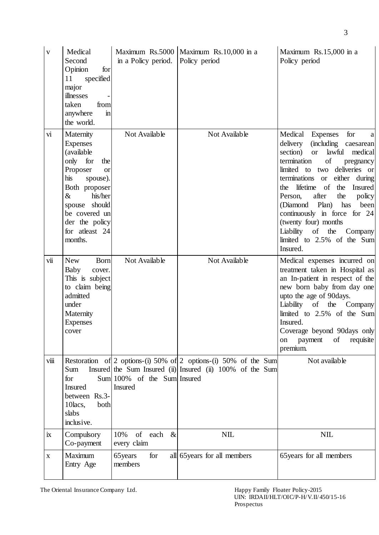| $\mathbf V$ | Medical<br>Second<br>Opinion<br>for<br>specified<br>11<br>major<br>illnesses<br>taken<br>from<br>anywhere<br>$\mathbf{m}$<br>the world.                                                                                        | in a Policy period.                    | Maximum Rs.5000   Maximum Rs.10,000 in a<br>Policy period                                                                     | Maximum Rs.15,000 in a<br>Policy period                                                                                                                                                                                                                                                                                                                                                                                                                                                                            |
|-------------|--------------------------------------------------------------------------------------------------------------------------------------------------------------------------------------------------------------------------------|----------------------------------------|-------------------------------------------------------------------------------------------------------------------------------|--------------------------------------------------------------------------------------------------------------------------------------------------------------------------------------------------------------------------------------------------------------------------------------------------------------------------------------------------------------------------------------------------------------------------------------------------------------------------------------------------------------------|
| vi          | Maternity<br><b>Expenses</b><br>(available<br>only for<br>the<br>Proposer<br><b>or</b><br>his<br>spouse).<br>Both proposer<br>$\&$<br>his/her<br>spouse should<br>be covered un<br>der the policy<br>for atleast 24<br>months. | Not Available                          | Not Available                                                                                                                 | for<br>Medical<br>Expenses<br>$\mathbf{a}$<br>delivery<br><i>(including)</i><br>caesarean<br>lawful<br>medical<br>section)<br><sub>or</sub><br>of<br>termination<br>pregnancy<br>limited to<br>two deliveries or<br>either during<br>terminations or<br>the<br>lifetime<br><sub>of</sub><br><b>Insured</b><br>the<br>after<br>Person,<br>the<br>policy<br>(Diamond Plan) has<br>been<br>continuously in force for 24<br>(twenty four) months<br>Liability of the Company<br>limited to 2.5% of the Sum<br>Insured. |
| vii         | <b>New</b><br>Born<br>Baby<br>cover.<br>This is subject<br>to claim being<br>admitted<br>under<br>Maternity<br><b>Expenses</b><br>cover                                                                                        | Not Available                          | Not Available                                                                                                                 | Medical expenses incurred on<br>treatment taken in Hospital as<br>an In-patient in respect of the<br>new born baby from day one<br>upto the age of 90days.<br>of the Company<br>Liability<br>limited to 2.5% of the Sum<br>Insured.<br>Coverage beyond 90days only<br>of<br>requisite<br>payment<br>on<br>premium.                                                                                                                                                                                                 |
| viii        | Sum<br>for<br>Insured<br>between Rs.3-<br>10lacs,<br>both<br>slabs<br>inclusive.                                                                                                                                               | Sum 100% of the Sum Insured<br>Insured | Restoration of 2 options-(i) 50% of 2 options-(i) 50% of the Sum<br>Insured the Sum Insured (ii) Insured (ii) 100% of the Sum | Not available                                                                                                                                                                                                                                                                                                                                                                                                                                                                                                      |
| ix          | Compulsory<br>Co-payment                                                                                                                                                                                                       | of each<br>$\&$<br>10%<br>every claim  | <b>NIL</b>                                                                                                                    | <b>NIL</b>                                                                                                                                                                                                                                                                                                                                                                                                                                                                                                         |
| $\mathbf X$ | Maximum<br>Entry Age                                                                                                                                                                                                           | for<br>65 years<br>members             | all 65 years for all members                                                                                                  | 65 years for all members                                                                                                                                                                                                                                                                                                                                                                                                                                                                                           |

The Oriental Insurance Company Ltd.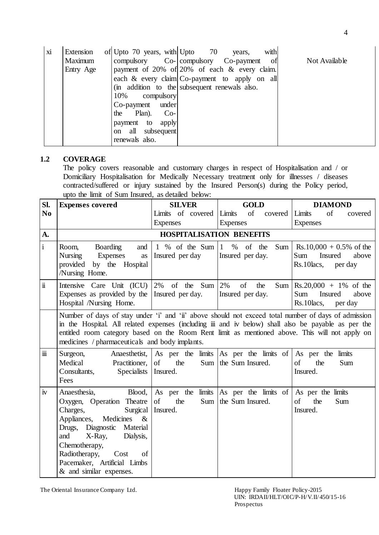| xi | Extension | of Upto 70 years, with Upto 70 | with<br>years,                                |               |
|----|-----------|--------------------------------|-----------------------------------------------|---------------|
|    | Maximum   |                                | compulsory Co-compulsory Co-payment of        | Not Available |
|    | Entry Age |                                | payment of 20% of 20% of each & every claim.  |               |
|    |           |                                | each & every claim Co-payment to apply on all |               |
|    |           |                                | (in addition to the subsequent renewals also. |               |
|    |           | 10\% compulsory                |                                               |               |
|    |           | Co-payment under               |                                               |               |
|    |           | the Plan).<br>$Co-$            |                                               |               |
|    |           | payment to<br>apply            |                                               |               |
|    |           | on all subsequent              |                                               |               |
|    |           | renewals also.                 |                                               |               |

# **1.2 COVERAGE**

The policy covers reasonable and customary charges in respect of Hospitalisation and / or Domiciliary Hospitalisation for Medically Necessary treatment only for illnesses / diseases contracted/suffered or injury sustained by the Insured Person(s) during the Policy period, upto the limit of Sum Insured, as detailed below:

| Sl.                  | <b>Expenses covered</b>                                                                                                                                                                                                                                                                                                                                        | <b>SILVER</b>                               | <b>GOLD</b>                                                                        | <b>DIAMOND</b>                                                                                         |  |  |
|----------------------|----------------------------------------------------------------------------------------------------------------------------------------------------------------------------------------------------------------------------------------------------------------------------------------------------------------------------------------------------------------|---------------------------------------------|------------------------------------------------------------------------------------|--------------------------------------------------------------------------------------------------------|--|--|
| N <sub>0</sub>       |                                                                                                                                                                                                                                                                                                                                                                | Limits of covered Limits<br><b>Expenses</b> | of<br>covered<br><b>Expenses</b>                                                   | Limits<br>of<br>covered<br><b>Expenses</b>                                                             |  |  |
| A.                   |                                                                                                                                                                                                                                                                                                                                                                | <b>HOSPITALISATION BENEFITS</b>             |                                                                                    |                                                                                                        |  |  |
| $\mathbf{i}$         | Boarding<br>Room,<br>and<br>Nursing<br>Expenses<br>as<br>by the Hospital<br>provided<br>/Nursing Home.                                                                                                                                                                                                                                                         | 1 % of the Sum $ 1$<br>Insured per day      | % of the<br>Sum<br>Insured per day.                                                | $Rs.10,000 + 0.5\%$ of the<br>Insured<br>Sum<br>above<br>$Rs.10 \text{lacs}$ ,<br>per day              |  |  |
| $\ddot{\mathbf{i}}$  | Intensive Care Unit (ICU)<br>Expenses as provided by the<br>Hospital /Nursing Home.                                                                                                                                                                                                                                                                            | $2\%$ of the Sum $2\%$<br>Insured per day.  | of<br>the<br>Sum<br>Insured per day.                                               | $\text{Rs.}20,000 + 1\% \text{ of the}$<br>Insured<br>above<br>Sum<br>$Rs.10 \text{lacs}$ ,<br>per day |  |  |
|                      | Number of days of stay under 'i' and 'ii' above should not exceed total number of days of admission<br>in the Hospital. All related expenses (including iii and iv below) shall also be payable as per the<br>entitled room category based on the Room Rent limit as mentioned above. This will not apply on<br>medicines / pharmaceuticals and body implants. |                                             |                                                                                    |                                                                                                        |  |  |
| $\dddot{\mathbf{m}}$ | Anaesthetist,<br>Surgeon,<br>Practitioner,<br>Medical<br>Specialists<br>Consultants,<br>Fees                                                                                                                                                                                                                                                                   | of<br>the<br>Sum<br>Insured.                | As per the limits $ As$ per the limits of $ As$ per the limits<br>the Sum Insured. | of<br>the<br>Sum<br>Insured.                                                                           |  |  |
| iv                   | Blood,<br>Anaesthesia,<br>Oxygen, Operation Theatre<br>Charges,<br>Surgical<br>Appliances,<br>Medicines<br>$-\&$<br>Drugs, Diagnostic Material<br>X-Ray,<br>and<br>Dialysis,<br>Chemotherapy,<br>Radiotherapy,<br>Cost<br>of<br>Pacemaker, Artificial Limbs<br>& and similar expenses.                                                                         | As per the<br>of<br>the<br>Insured.         | limits $ As $ per the limits of<br>Sum the Sum Insured.                            | As per the limits<br>of<br>the<br>Sum<br>Insured.                                                      |  |  |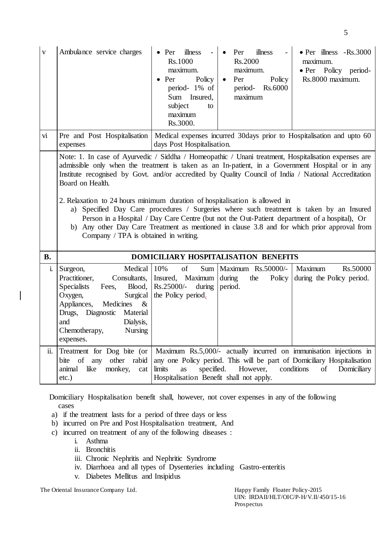| $\mathbf{V}$ | Ambulance service charges                                                                                                                                                                                                                                                                                                                                                                                                                                                                                                                                                                                                                                                                                                                                 | illness<br>illness<br>• Per illness - Rs.3000<br>$\bullet$ Per<br>Per<br>Rs.1000<br>Rs.2000<br>maximum.<br>maximum.<br>maximum.<br>· Per Policy period-<br>Rs.8000 maximum.<br>Policy<br>Policy<br>Per<br>Per<br>$\bullet$<br>period-1% of<br><b>Rs.6000</b><br>period-<br>Insured,<br>maximum<br>Sum<br>subject<br>to<br>maximum<br>Rs.3000. |  |  |  |  |
|--------------|-----------------------------------------------------------------------------------------------------------------------------------------------------------------------------------------------------------------------------------------------------------------------------------------------------------------------------------------------------------------------------------------------------------------------------------------------------------------------------------------------------------------------------------------------------------------------------------------------------------------------------------------------------------------------------------------------------------------------------------------------------------|-----------------------------------------------------------------------------------------------------------------------------------------------------------------------------------------------------------------------------------------------------------------------------------------------------------------------------------------------|--|--|--|--|
| <b>VI</b>    | Pre and Post Hospitalisation<br>expenses                                                                                                                                                                                                                                                                                                                                                                                                                                                                                                                                                                                                                                                                                                                  | Medical expenses incurred 30days prior to Hospitalisation and upto 60<br>days Post Hospitalisation.                                                                                                                                                                                                                                           |  |  |  |  |
|              | Note: 1. In case of Ayurvedic / Siddha / Homeopathic / Unani treatment, Hospitalisation expenses are<br>admissible only when the treatment is taken as an In-patient, in a Government Hospital or in any<br>Institute recognised by Govt. and/or accredited by Quality Council of India / National Accreditation<br>Board on Health.<br>2. Relaxation to 24 hours minimum duration of hospitalisation is allowed in<br>a) Specified Day Care procedures / Surgeries where such treatment is taken by an Insured<br>Person in a Hospital / Day Care Centre (but not the Out-Patient department of a hospital), Or<br>b) Any other Day Care Treatment as mentioned in clause 3.8 and for which prior approval from<br>Company / TPA is obtained in writing. |                                                                                                                                                                                                                                                                                                                                               |  |  |  |  |
| <b>B.</b>    |                                                                                                                                                                                                                                                                                                                                                                                                                                                                                                                                                                                                                                                                                                                                                           | DOMICILIARY HOSPITALISATION BENEFITS                                                                                                                                                                                                                                                                                                          |  |  |  |  |
| i.           | Medical<br>Surgeon,<br>Practitioner,<br>Consultants,<br><b>Specialists</b><br>Blood,<br>Fees,<br>Oxygen,<br>Surgical<br>Appliances,<br>Medicines<br>$\&$<br>Drugs,<br>Diagnostic<br>Material<br>and<br>Dialysis,<br>Chemotherapy,<br>Nursing<br>expenses.                                                                                                                                                                                                                                                                                                                                                                                                                                                                                                 | 10%<br>of<br>Sum   Maximum Rs.50000/-<br>Rs.50000<br>Maximum<br>Maximum<br>during<br>Policy<br>during the Policy period.<br>Insured,<br>the<br>Rs.25000/-<br>during<br>period.<br>the Policy period.                                                                                                                                          |  |  |  |  |
| ii.          | Treatment for Dog bite (or<br>bite of any<br>other rabid<br>animal<br>like<br>monkey,<br>cat<br>$etc.$ )                                                                                                                                                                                                                                                                                                                                                                                                                                                                                                                                                                                                                                                  | Maximum Rs.5,000/- actually incurred on immunisation injections in<br>any one Policy period. This will be part of Domiciliary Hospitalisation<br><b>limits</b><br>specified.<br>However,<br>conditions<br>of<br>Domiciliary<br>as<br>Hospitalisation Benefit shall not apply.                                                                 |  |  |  |  |

Domiciliary Hospitalisation benefit shall, however, not cover expenses in any of the following cases

- a) if the treatment lasts for a period of three days or less
- b) incurred on Pre and Post Hospitalisation treatment, And
- c) incurred on treatment of any of the following diseases :
	- i. Asthma
	- ii. Bronchitis
	- iii. Chronic Nephritis and Nephritic Syndrome
	- iv. Diarrhoea and all types of Dysenteries including Gastro-enteritis
	- v. Diabetes Mellitus and Insipidus

The Oriental Insurance Company Ltd. Happy Family Floater Policy-2015

 UIN: IRDAII/HLT/OIC/P-H/V.II/450/15-16 Prospectus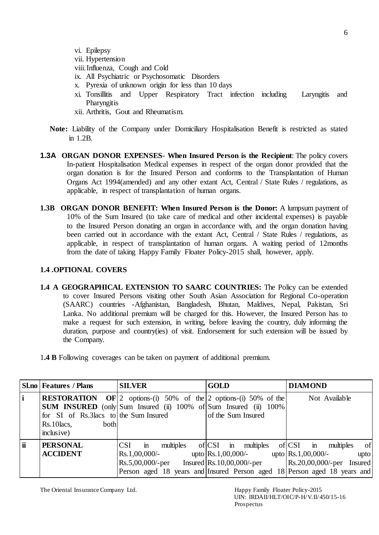- vi. Epilepsy
- vii. Hypertension
- viii.Influenza, Cough and Cold
- ix. All Psychiatric or Psychosomatic Disorders
- x. Pyrexia of unknown origin for less than 10 days
- xi. Tonsillitis and Upper Respiratory Tract infection including Laryngitis and **Pharyngitis**
- xii. Arthritis, Gout and Rheumatism.
- **Note:** Liability of the Company under Domiciliary Hospitalisation Benefit is restricted as stated in 1.2B.
- **1.3A ORGAN DONOR EXPENSES- When Insured Person is the Recipient**: The policy covers In-patient Hospitalisation Medical expenses in respect of the organ donor provided that the organ donation is for the Insured Person and conforms to the Transplantation of Human Organs Act 1994(amended) and any other extant Act, Central / State Rules / regulations, as applicable, in respect of transplantation of human organs.
- **1.3B ORGAN DONOR BENEFIT: When Insured Person is the Donor:** A lumpsum payment of 10% of the Sum Insured (to take care of medical and other incidental expenses) is payable to the Insured Person donating an organ in accordance with, and the organ donation having been carried out in accordance with the extant Act, Central / State Rules / regulations, as applicable, in respect of transplantation of human organs. A waiting period of 12months from the date of taking Happy Family Floater Policy-2015 shall, however, apply.

## **1.4 .OPTIONAL COVERS**

- **1.4 A GEOGRAPHICAL EXTENSION TO SAARC COUNTRIES:** The Policy can be extended to cover Insured Persons visiting other South Asian Association for Regional Co-operation (SAARC) countries -Afghanistan, Bangladesh, Bhutan, Maldives, Nepal, Pakistan, Sri Lanka. No additional premium will be charged for this. However, the Insured Person has to make a request for such extension, in writing, before leaving the country, duly informing the duration, purpose and country(ies) of visit. Endorsement for such extension will be issued by the Company.
- 1**.4 B** Following coverages can be taken on payment of additional premium.

|    | <b>Sl.no</b>   Features / Plans                                                          | <b>SILVER</b>                                                                                                                                                                         | <b>GOLD</b>                                                 | <b>DIAMOND</b>                                                                                                         |
|----|------------------------------------------------------------------------------------------|---------------------------------------------------------------------------------------------------------------------------------------------------------------------------------------|-------------------------------------------------------------|------------------------------------------------------------------------------------------------------------------------|
| li | for SI of Rs.3 lacs to the Sum Insured<br>$Rs.10 \, \text{lacs}$ ,<br>both<br>inclusive) | <b>RESTORATION</b> OF 2 options-(i) 50% of the 2 options-(i) 50% of the<br><b>SUM INSURED</b> (only Sum Insured (ii) 100% of Sum Insured (ii) 100%                                    | of the Sum Insured                                          | Not Available                                                                                                          |
| ii | <b>PERSONAL</b><br><b>ACCIDENT</b>                                                       | $\dot{m}$<br><b>CSI</b><br>Rs.1,00,000/<br>$\text{Rs.}5,00,000$ /-per Insured $\text{Rs.}10,00,000$ /-per<br>Person aged 18 years and Insured Person aged 18 Person aged 18 years and | multiples of CSI in multiples<br>upto $\vert$ Rs.1,00,000/- | - of<br>$of CSI \quad in$<br>multiples<br>upto $\big  \text{Rs}.1,00,000 \big $ -<br>upto<br>Rs.20,00,000/-per Insured |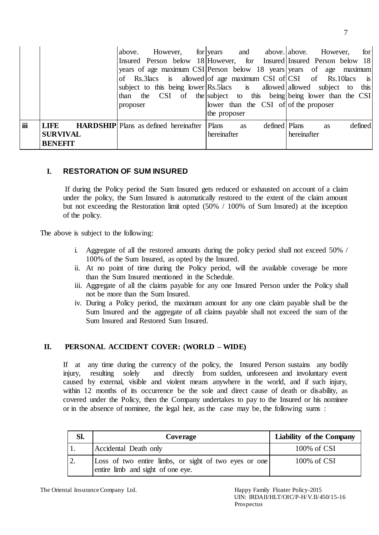|     |                                           | above. However, for years and above above. However,<br>Insured Person below 18 However, for Insured Insured Person below 18<br>years of age maximum CSI Person below 18 years vers of age maximum<br>of Rs.3lacs is allowed of age maximum CSI of CSI of Rs.10 lacs is<br>subject to this being lower Rs.5lacs is allowed allowed subject to this<br>than the CSI of the subject to this being being lower than the CSI<br>proposer |  | the proposer | lower than the CSI of of the proposer |               |             |    | for     |
|-----|-------------------------------------------|-------------------------------------------------------------------------------------------------------------------------------------------------------------------------------------------------------------------------------------------------------------------------------------------------------------------------------------------------------------------------------------------------------------------------------------|--|--------------|---------------------------------------|---------------|-------------|----|---------|
| iii | LIFE<br><b>SURVIVAL</b><br><b>BENEFIT</b> | <b>HARDSHIP</b> Plans as defined hereinafter Plans                                                                                                                                                                                                                                                                                                                                                                                  |  | hereinafter  | as                                    | defined Plans | hereinafter | as | defined |

# **I. RESTORATION OF SUM INSURED**

If during the Policy period the Sum Insured gets reduced or exhausted on account of a claim under the policy, the Sum Insured is automatically restored to the extent of the claim amount but not exceeding the Restoration limit opted (50% / 100% of Sum Insured) at the inception of the policy.

The above is subject to the following:

- i. Aggregate of all the restored amounts during the policy period shall not exceed 50% / 100% of the Sum Insured, as opted by the Insured.
- ii. At no point of time during the Policy period, will the available coverage be more than the Sum Insured mentioned in the Schedule.
- iii. Aggregate of all the claims payable for any one Insured Person under the Policy shall not be more than the Sum Insured.
- iv. During a Policy period, the maximum amount for any one claim payable shall be the Sum Insured and the aggregate of all claims payable shall not exceed the sum of the Sum Insured and Restored Sum Insured.

# **II. PERSONAL ACCIDENT COVER: (WORLD – WIDE)**

If at any time during the currency of the policy, the Insured Person sustains any bodily injury, resulting solely and directly from sudden, unforeseen and involuntary event caused by external, visible and violent means anywhere in the world, and if such injury, within 12 months of its occurrence be the sole and direct cause of death or disability, as covered under the Policy, then the Company undertakes to pay to the Insured or his nominee or in the absence of nominee, the legal heir, as the case may be, the following sums :

| Sl. | Coverage                                                                                   | Liability of the Company |
|-----|--------------------------------------------------------------------------------------------|--------------------------|
|     | Accidental Death only                                                                      | $100\% \text{ of CSI}$   |
| ۷.  | Loss of two entire limbs, or sight of two eyes or one<br>entire limb and sight of one eye. | 100% of CSI              |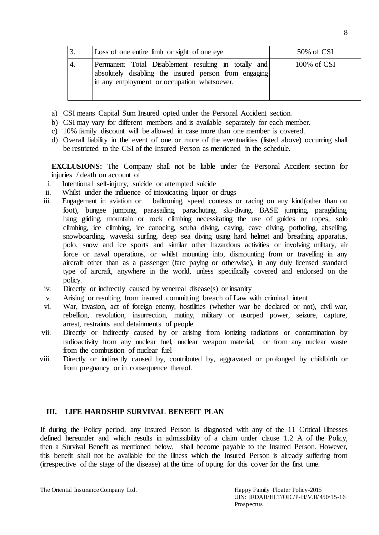| 3. | Loss of one entire limb or sight of one eye                                                                                                                  | 50% of CSI  |
|----|--------------------------------------------------------------------------------------------------------------------------------------------------------------|-------------|
|    | Permanent Total Disablement resulting in totally and<br>absolutely disabling the insured person from engaging<br>in any employment or occupation whatsoever. | 100% of CSI |

- a) CSI means Capital Sum Insured opted under the Personal Accident section.
- b) CSI may vary for different members and is available separately for each member.
- c) 10% family discount will be allowed in case more than one member is covered.
- d) Overall liability in the event of one or more of the eventualities (listed above) occurring shall be restricted to the CSI of the Insured Person as mentioned in the schedule.

**EXCLUSIONS:** The Company shall not be liable under the Personal Accident section for injuries / death on account of

- i. Intentional self-injury, suicide or attempted suicide
- ii. Whilst under the influence of intoxicating liquor or drugs
- iii. Engagement in aviation or ballooning, speed contests or racing on any kind(other than on foot), bungee jumping, parasailing, parachuting, ski-diving, BASE jumping, paragliding, hang gliding, mountain or rock climbing necessitating the use of guides or ropes, solo climbing, ice climbing, ice canoeing, scuba diving, caving, cave diving, potholing, abseiling, snowboarding, waveski surfing, deep sea diving using hard helmet and breathing apparatus, polo, snow and ice sports and similar other hazardous activities or involving military, air force or naval operations, or whilst mounting into, dismounting from or travelling in any aircraft other than as a passenger (fare paying or otherwise), in any duly licensed standard type of aircraft, anywhere in the world, unless specifically covered and endorsed on the policy.
- iv. Directly or indirectly caused by venereal disease(s) or insanity
- v. Arising or resulting from insured committing breach of Law with criminal intent
- vi. War, invasion, act of foreign enemy, hostilities (whether war be declared or not), civil war, rebellion, revolution, insurrection, mutiny, military or usurped power, seizure, capture, arrest, restraints and detainments of people
- vii. Directly or indirectly caused by or arising from ionizing radiations or contamination by radioactivity from any nuclear fuel, nuclear weapon material, or from any nuclear waste from the combustion of nuclear fuel
- viii. Directly or indirectly caused by, contributed by, aggravated or prolonged by childbirth or from pregnancy or in consequence thereof.

## **III. LIFE HARDSHIP SURVIVAL BENEFIT PLAN**

If during the Policy period, any Insured Person is diagnosed with any of the 11 Critical Illnesses defined hereunder and which results in admissibility of a claim under clause 1.2 A of the Policy, then a Survival Benefit as mentioned below, shall become payable to the Insured Person. However, this benefit shall not be available for the illness which the Insured Person is already suffering from (irrespective of the stage of the disease) at the time of opting for this cover for the first time.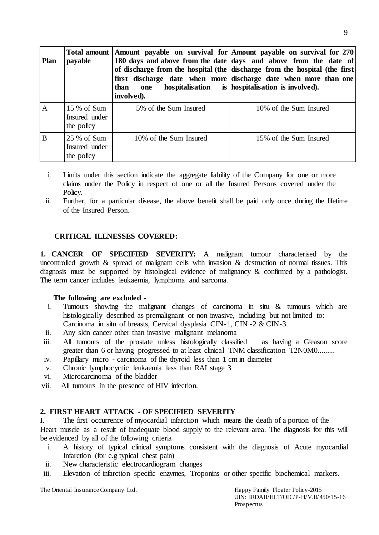| Plan           | payable                                    | hospitalisation<br>than<br>one<br>involved). | Total amount Amount payable on survival for Amount payable on survival for 270<br>180 days and above from the date days and above from the date of<br>of discharge from the hospital (the discharge from the hospital (the first)<br>first discharge date when more discharge date when more than one<br>is   hospitalisation is involved). |
|----------------|--------------------------------------------|----------------------------------------------|---------------------------------------------------------------------------------------------------------------------------------------------------------------------------------------------------------------------------------------------------------------------------------------------------------------------------------------------|
| $\overline{A}$ | 15 % of Sum<br>Insured under<br>the policy | 5% of the Sum Insured                        | 10% of the Sum Insured                                                                                                                                                                                                                                                                                                                      |
| B              | 25 % of Sum<br>Insured under<br>the policy | 10\% of the Sum Insured                      | 15% of the Sum Insured                                                                                                                                                                                                                                                                                                                      |

- i. Limits under this section indicate the aggregate liability of the Company for one or more claims under the Policy in respect of one or all the Insured Persons covered under the Policy.
- ii. Further, for a particular disease, the above benefit shall be paid only once during the lifetime of the Insured Person.

# **CRITICAL ILLNESSES COVERED:**

**1. CANCER OF SPECIFIED SEVERITY:** A malignant tumour characterised by the uncontrolled growth  $\&$  spread of malignant cells with invasion  $\&$  destruction of normal tissues. This diagnosis must be supported by histological evidence of malignancy & confirmed by a pathologist. The term cancer includes leukaemia, lymphoma and sarcoma.

## **The following are excluded -**

- i. Tumours showing the malignant changes of carcinoma in situ & tumours which are histologically described as premalignant or non invasive, including but not limited to: Carcinoma in situ of breasts, Cervical dysplasia CIN-1, CIN -2 & CIN-3.
- ii. Any skin cancer other than invasive malignant melanoma
- iii. All tumours of the prostate unless histologically classified as having a Gleason score greater than 6 or having progressed to at least clinical TNM classification T2N0M0.........
- iv. Papillary micro carcinoma of the thyroid less than 1 cm in diameter
- v. Chronic lymphocyctic leukaemia less than RAI stage 3
- vi. Microcarcinoma of the bladder
- vii. All tumours in the presence of HIV infection.

## **2. FIRST HEART ATTACK - OF SPECIFIED SEVERITY**

I. The first occurrence of myocardial infarction which means the death of a portion of the

Heart muscle as a result of inadequate blood supply to the relevant area. The diagnosis for this will be evidenced by all of the following criteria

- i. A history of typical clinical symptoms consistent with the diagnosis of Acute myocardial Infarction (for e.g typical chest pain)
- ii. New characteristic electrocardiogram changes
- iii. Elevation of infarction specific enzymes, Troponins or other specific biochemical markers.

The Oriental Insurance Company Ltd. Happy Family Floater Policy-2015

 UIN: IRDAII/HLT/OIC/P-H/V.II/450/15-16 Prospectus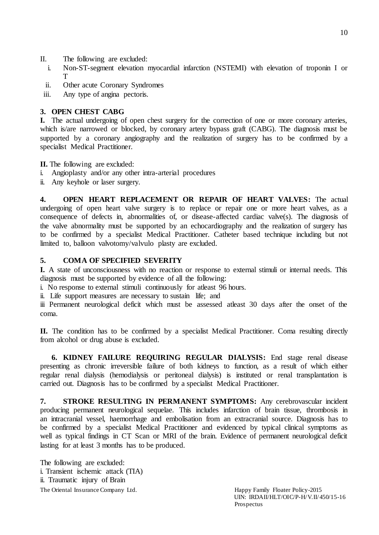- II. The following are excluded:
	- i. Non-ST-segment elevation myocardial infarction (NSTEMI) with elevation of troponin I or T
	- ii. Other acute Coronary Syndromes
- iii. Any type of angina pectoris.

## **3. OPEN CHEST CABG**

**I.** The actual undergoing of open chest surgery for the correction of one or more coronary arteries, which is/are narrowed or blocked, by coronary artery bypass graft (CABG). The diagnosis must be supported by a coronary angiography and the realization of surgery has to be confirmed by a specialist Medical Practitioner.

**II.** The following are excluded:

- i. Angioplasty and/or any other intra-arterial procedures
- ii. Any keyhole or laser surgery.

**4. OPEN HEART REPLACEMENT OR REPAIR OF HEART VALVES:** The actual undergoing of open heart valve surgery is to replace or repair one or more heart valves, as a consequence of defects in, abnormalities of, or disease-affected cardiac valve(s). The diagnosis of the valve abnormality must be supported by an echocardiography and the realization of surgery has to be confirmed by a specialist Medical Practitioner. Catheter based technique including but not limited to, balloon valvotomy/valvulo plasty are excluded.

## **5. COMA OF SPECIFIED SEVERITY**

**I.** A state of unconsciousness with no reaction or response to external stimuli or internal needs. This diagnosis must be supported by evidence of all the following:

i. No response to external stimuli continuously for atleast 96 hours.

ii. Life support measures are necessary to sustain life; and

iii Permanent neurological deficit which must be assessed atleast 30 days after the onset of the coma.

**II.** The condition has to be confirmed by a specialist Medical Practitioner. Coma resulting directly from alcohol or drug abuse is excluded.

**6. KIDNEY FAILURE REQUIRING REGULAR DIALYSIS:** End stage renal disease presenting as chronic irreversible failure of both kidneys to function, as a result of which either regular renal dialysis (hemodialysis or peritoneal dialysis) is instituted or renal transplantation is carried out. Diagnosis has to be confirmed by a specialist Medical Practitioner.

**7. STROKE RESULTING IN PERMANENT SYMPTOMS:** Any cerebrovascular incident producing permanent neurological sequelae. This includes infarction of brain tissue, thrombosis in an intracranial vessel, haemorrhage and embolisation from an extracranial source. Diagnosis has to be confirmed by a specialist Medical Practitioner and evidenced by typical clinical symptoms as well as typical findings in CT Scan or MRI of the brain. Evidence of permanent neurological deficit lasting for at least 3 months has to be produced.

The Oriental Insurance Company Ltd. Happy Family Floater Policy-2015 The following are excluded: i. Transient ischemic attack (TIA) ii. Traumatic injury of Brain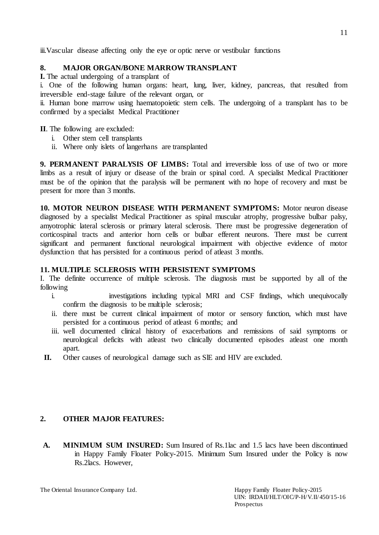iii.Vascular disease affecting only the eye or optic nerve or vestibular functions

# **8. MAJOR ORGAN/BONE MARROW TRANSPLANT**

**I.** The actual undergoing of a transplant of

i. One of the following human organs: heart, lung, liver, kidney, pancreas, that resulted from irreversible end-stage failure of the relevant organ, or

ii. Human bone marrow using haematopoietic stem cells. The undergoing of a transplant has to be confirmed by a specialist Medical Practitioner

**II**. The following are excluded:

- i. Other stem cell transplants
- ii. Where only islets of langerhans are transplanted

**9. PERMANENT PARALYSIS OF LIMBS:** Total and irreversible loss of use of two or more limbs as a result of injury or disease of the brain or spinal cord. A specialist Medical Practitioner must be of the opinion that the paralysis will be permanent with no hope of recovery and must be present for more than 3 months.

**10. MOTOR NEURON DISEASE WITH PERMANENT SYMPTOMS:** Motor neuron disease diagnosed by a specialist Medical Practitioner as spinal muscular atrophy, progressive bulbar palsy, amyotrophic lateral sclerosis or primary lateral sclerosis. There must be progressive degeneration of corticospinal tracts and anterior horn cells or bulbar efferent neurons. There must be current significant and permanent functional neurological impairment with objective evidence of motor dysfunction that has persisted for a continuous period of atleast 3 months.

# **11. MULTIPLE SCLEROSIS WITH PERSISTENT SYMPTOMS**

I. The definite occurrence of multiple sclerosis. The diagnosis must be supported by all of the following

- i. investigations including typical MRI and CSF findings, which unequivocally confirm the diagnosis to be multiple sclerosis;
- ii. there must be current clinical impairment of motor or sensory function, which must have persisted for a continuous period of atleast 6 months; and
- iii. well documented clinical history of exacerbations and remissions of said symptoms or neurological deficits with atleast two clinically documented episodes atleast one month apart.
- **II.** Other causes of neurological damage such as SlE and HIV are excluded.

# **2. OTHER MAJOR FEATURES:**

**A. MINIMUM SUM INSURED:** Sum Insured of Rs.1lac and 1.5 lacs have been discontinued in Happy Family Floater Policy-2015. Minimum Sum Insured under the Policy is now Rs.2lacs. However,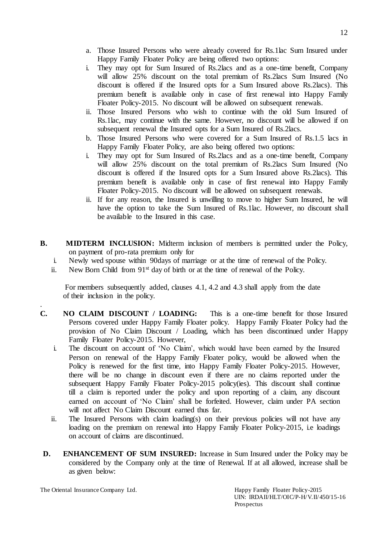- a. Those Insured Persons who were already covered for Rs.1lac Sum Insured under Happy Family Floater Policy are being offered two options:
- i. They may opt for Sum Insured of Rs.2lacs and as a one-time benefit, Company will allow 25% discount on the total premium of Rs.2lacs Sum Insured (No discount is offered if the Insured opts for a Sum Insured above Rs.2lacs). This premium benefit is available only in case of first renewal into Happy Family Floater Policy-2015. No discount will be allowed on subsequent renewals.
- ii. Those Insured Persons who wish to continue with the old Sum Insured of Rs.1lac, may continue with the same. However, no discount will be allowed if on subsequent renewal the Insured opts for a Sum Insured of Rs.2lacs.
- b. Those Insured Persons who were covered for a Sum Insured of Rs.1.5 lacs in Happy Family Floater Policy, are also being offered two options:
- i. They may opt for Sum Insured of Rs.2lacs and as a one-time benefit, Company will allow 25% discount on the total premium of Rs.2lacs Sum Insured (No discount is offered if the Insured opts for a Sum Insured above Rs.2lacs). This premium benefit is available only in case of first renewal into Happy Family Floater Policy-2015. No discount will be allowed on subsequent renewals.
- ii. If for any reason, the Insured is unwilling to move to higher Sum Insured, he will have the option to take the Sum Insured of Rs.1lac. However, no discount shall be available to the Insured in this case.
- **B. MIDTERM INCLUSION:** Midterm inclusion of members is permitted under the Policy, on payment of pro-rata premium only for
	- i. Newly wed spouse within 90days of marriage or at the time of renewal of the Policy.
	- ii. New Born Child from 91<sup>st</sup> day of birth or at the time of renewal of the Policy.

 For members subsequently added, clauses 4.1, 4.2 and 4.3 shall apply from the date of their inclusion in the policy.

- **C. NO CLAIM DISCOUNT / LOADING:** This is a one-time benefit for those Insured Persons covered under Happy Family Floater policy. Happy Family Floater Policy had the provision of No Claim Discount / Loading, which has been discontinued under Happy Family Floater Policy-2015. However,
	- i. The discount on account of 'No Claim', which would have been earned by the Insured Person on renewal of the Happy Family Floater policy, would be allowed when the Policy is renewed for the first time, into Happy Family Floater Policy-2015. However, there will be no change in discount even if there are no claims reported under the subsequent Happy Family Floater Policy-2015 policy(ies). This discount shall continue till a claim is reported under the policy and upon reporting of a claim, any discount earned on account of 'No Claim' shall be forfeited. However, claim under PA section will not affect No Claim Discount earned thus far.
	- ii. The Insured Persons with claim loading(s) on their previous policies will not have any loading on the premium on renewal into Happy Family Floater Policy-2015, i.e loadings on account of claims are discontinued.
- **D. ENHANCEMENT OF SUM INSURED:** Increase in Sum Insured under the Policy may be considered by the Company only at the time of Renewal. If at all allowed, increase shall be as given below:

The Oriental Insurance Company Ltd. Happy Family Floater Policy-2015

.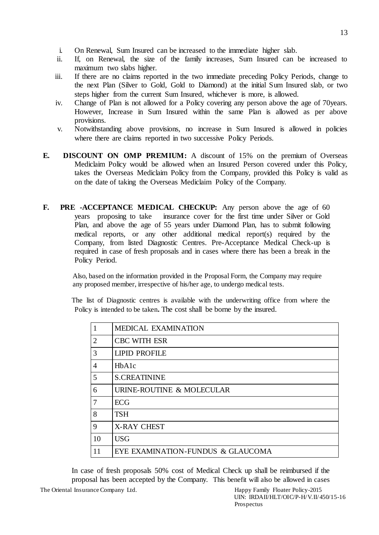- i. On Renewal, Sum Insured can be increased to the immediate higher slab.
- ii. If, on Renewal, the size of the family increases, Sum Insured can be increased to maximum two slabs higher.
- iii. If there are no claims reported in the two immediate preceding Policy Periods, change to the next Plan (Silver to Gold, Gold to Diamond) at the initial Sum Insured slab, or two steps higher from the current Sum Insured, whichever is more, is allowed.
- iv. Change of Plan is not allowed for a Policy covering any person above the age of 70years. However, Increase in Sum Insured within the same Plan is allowed as per above provisions.
- v. Notwithstanding above provisions, no increase in Sum Insured is allowed in policies where there are claims reported in two successive Policy Periods.
- **E. DISCOUNT ON OMP PREMIUM:** A discount of 15% on the premium of Overseas Mediclaim Policy would be allowed when an Insured Person covered under this Policy, takes the Overseas Mediclaim Policy from the Company, provided this Policy is valid as on the date of taking the Overseas Mediclaim Policy of the Company.
- **F. PRE -ACCEPTANCE MEDICAL CHECKUP:** Any person above the age of 60 years proposing to take insurance cover for the first time under Silver or Gold Plan, and above the age of 55 years under Diamond Plan, has to submit following medical reports, or any other additional medical report(s) required by the Company, from listed Diagnostic Centres. Pre-Acceptance Medical Check-up is required in case of fresh proposals and in cases where there has been a break in the Policy Period.

 Also, based on the information provided in the Proposal Form, the Company may require any proposed member, irrespective of his/her age, to undergo medical tests.

The list of Diagnostic centres is available with the underwriting office from where the Policy is intended to be taken**.** The cost shall be borne by the insured.

| $\mathbf{1}$   | <b>MEDICAL EXAMINATION</b>        |
|----------------|-----------------------------------|
| $\overline{2}$ | <b>CBC WITH ESR</b>               |
| 3              | <b>LIPID PROFILE</b>              |
| 4              | HbA1c                             |
| 5              | <b>S.CREATININE</b>               |
| 6              | URINE-ROUTINE & MOLECULAR         |
| 7              | ECG                               |
| 8              | <b>TSH</b>                        |
| 9              | <b>X-RAY CHEST</b>                |
| 10             | <b>USG</b>                        |
| 11             | EYE EXAMINATION-FUNDUS & GLAUCOMA |

In case of fresh proposals 50% cost of Medical Check up shall be reimbursed if the proposal has been accepted by the Company. This benefit will also be allowed in cases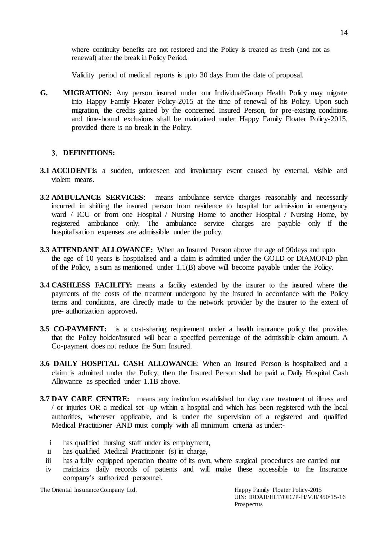where continuity benefits are not restored and the Policy is treated as fresh (and not as renewal) after the break in Policy Period.

Validity period of medical reports is upto 30 days from the date of proposal.

**G. MIGRATION:** Any person insured under our Individual/Group Health Policy may migrate into Happy Family Floater Policy-2015 at the time of renewal of his Policy. Upon such migration, the credits gained by the concerned Insured Person, for pre-existing conditions and time-bound exclusions shall be maintained under Happy Family Floater Policy-2015, provided there is no break in the Policy.

## **DEFINITIONS:**

- **3.1 ACCIDENT**: is a sudden, unforeseen and involuntary event caused by external, visible and violent means.
- **3.2 AMBULANCE SERVICES**: means ambulance service charges reasonably and necessarily incurred in shifting the insured person from residence to hospital for admission in emergency ward / ICU or from one Hospital / Nursing Home to another Hospital / Nursing Home, by registered ambulance only. The ambulance service charges are payable only if the hospitalisation expenses are admissible under the policy.
- **3.3 ATTENDANT ALLOWANCE:** When an Insured Person above the age of 90days and upto the age of 10 years is hospitalised and a claim is admitted under the GOLD or DIAMOND plan of the Policy, a sum as mentioned under 1.1(B) above will become payable under the Policy.
- **3.4 CASHLESS FACILITY:** means a facility extended by the insurer to the insured where the payments of the costs of the treatment undergone by the insured in accordance with the Policy terms and conditions, are directly made to the network provider by the insurer to the extent of pre- authorization approved**.**
- **3.5 CO-PAYMENT:** is a cost-sharing requirement under a health insurance policy that provides that the Policy holder/insured will bear a specified percentage of the admissible claim amount. A Co-payment does not reduce the Sum Insured.
- **3.6 DAILY HOSPITAL CASH ALLOWANCE**: When an Insured Person is hospitalized and a claim is admitted under the Policy, then the Insured Person shall be paid a Daily Hospital Cash Allowance as specified under 1.1B above.
- **3.7 DAY CARE CENTRE:** means any institution established for day care treatment of illness and / or injuries OR a medical set -up within a hospital and which has been registered with the local authorities, wherever applicable, and is under the supervision of a registered and qualified Medical Practitioner AND must comply with all minimum criteria as under:
	- i has qualified nursing staff under its employment,
	- ii has qualified Medical Practitioner (s) in charge,
	- iii has a fully equipped operation theatre of its own, where surgical procedures are carried out
	- iv maintains daily records of patients and will make these accessible to the Insurance company's authorized personnel.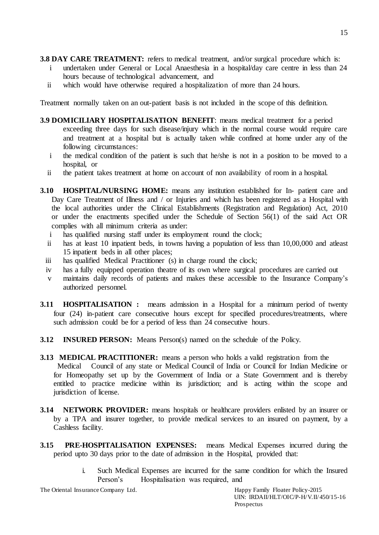- **3.8 DAY CARE TREATMENT:** refers to medical treatment, and/or surgical procedure which is:
	- i undertaken under General or Local Anaesthesia in a hospital/day care centre in less than 24 hours because of technological advancement, and
	- ii which would have otherwise required a hospitalization of more than 24 hours.

Treatment normally taken on an out-patient basis is not included in the scope of this definition.

- **3.9 DOMICILIARY HOSPITALISATION BENEFIT**: means medical treatment for a period exceeding three days for such disease/injury which in the normal course would require care and treatment at a hospital but is actually taken while confined at home under any of the following circumstances:
	- i the medical condition of the patient is such that he/she is not in a position to be moved to a hospital, or
	- ii the patient takes treatment at home on account of non availability of room in a hospital.
- **3.10 HOSPITAL/NURSING HOME:** means any institution established for In- patient care and Day Care Treatment of Illness and / or Injuries and which has been registered as a Hospital with the local authorities under the Clinical Establishments (Registration and Regulation) Act, 2010 or under the enactments specified under the Schedule of Section 56(1) of the said Act OR complies with all minimum criteria as under:
	- i has qualified nursing staff under its employment round the clock;
	- ii has at least 10 inpatient beds, in towns having a population of less than 10,00,000 and atleast 15 inpatient beds in all other places;
	- iii has qualified Medical Practitioner (s) in charge round the clock;
	- iv has a fully equipped operation theatre of its own where surgical procedures are carried out
	- v maintains daily records of patients and makes these accessible to the Insurance Company's authorized personnel.
- **3.11 <b>HOSPITALISATION** : means admission in a Hospital for a minimum period of twenty four (24) in-patient care consecutive hours except for specified procedures/treatments, where such admission could be for a period of less than 24 consecutive hours.
- **3.12 INSURED PERSON:** Means Person(s) named on the schedule of the Policy.
- **3.13 MEDICAL PRACTITIONER:** means a person who holds a valid registration from the

 Medical Council of any state or Medical Council of India or Council for Indian Medicine or for Homeopathy set up by the Government of India or a State Government and is thereby entitled to practice medicine within its jurisdiction; and is acting within the scope and jurisdiction of license.

- **3.14 NETWORK PROVIDER:** means hospitals or healthcare providers enlisted by an insurer or by a TPA and insurer together, to provide medical services to an insured on payment, by a Cashless facility.
- **3.15 PRE-HOSPITALISATION EXPENSES:** means Medical Expenses incurred during the period upto 30 days prior to the date of admission in the Hospital, provided that:
	- i. Such Medical Expenses are incurred for the same condition for which the Insured Person's Hospitalisation was required, and

The Oriental Insurance Company Ltd. Happy Family Floater Policy-2015

 UIN: IRDAII/HLT/OIC/P-H/V.II/450/15-16 Prospectus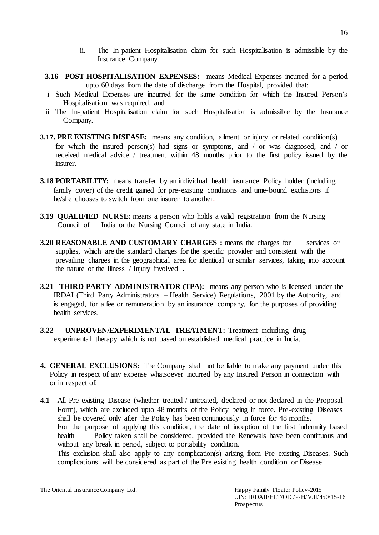- ii. The In-patient Hospitalisation claim for such Hospitalisation is admissible by the Insurance Company.
- **3.16 POST-HOSPITALISATION EXPENSES:** means Medical Expenses incurred for a period upto 60 days from the date of discharge from the Hospital, provided that:
- i Such Medical Expenses are incurred for the same condition for which the Insured Person's Hospitalisation was required, and
- ii The In-patient Hospitalisation claim for such Hospitalisation is admissible by the Insurance Company.
- **3.17. PRE EXISTING DISEASE:** means any condition, ailment or injury or related condition(s) for which the insured person(s) had signs or symptoms, and / or was diagnosed, and / or received medical advice / treatment within 48 months prior to the first policy issued by the insurer.
- **3.18 PORTABILITY:** means transfer by an individual health insurance Policy holder (including family cover) of the credit gained for pre-existing conditions and time-bound exclusions if he/she chooses to switch from one insurer to another.
- **3.19 QUALIFIED NURSE:** means a person who holds a valid registration from the Nursing Council of India or the Nursing Council of any state in India.
- **3.20 REASONABLE AND CUSTOMARY CHARGES : means the charges for services or**  supplies, which are the standard charges for the specific provider and consistent with the prevailing charges in the geographical area for identical or similar services, taking into account the nature of the Illness / Injury involved .
- **3.21 THIRD PARTY ADMINISTRATOR (TPA):** means any person who is licensed under the IRDAI (Third Party Administrators – Health Service) Regulations, 2001 by the Authority, and is engaged, for a fee or remuneration by an insurance company, for the purposes of providing health services.
- **3.22 UNPROVEN/EXPERIMENTAL TREATMENT:** Treatment including drug experimental therapy which is not based on established medical practice in India.
- **4. GENERAL EXCLUSIONS:** The Company shall not be liable to make any payment under this Policy in respect of any expense whatsoever incurred by any Insured Person in connection with or in respect of:
- **4.1** All Pre-existing Disease (whether treated / untreated, declared or not declared in the Proposal Form), which are excluded upto 48 months of the Policy being in force. Pre-existing Diseases shall be covered only after the Policy has been continuously in force for 48 months. For the purpose of applying this condition, the date of inception of the first indemnity based health Policy taken shall be considered, provided the Renewals have been continuous and without any break in period, subject to portability condition.

This exclusion shall also apply to any complication(s) arising from Pre existing Diseases. Such complications will be considered as part of the Pre existing health condition or Disease.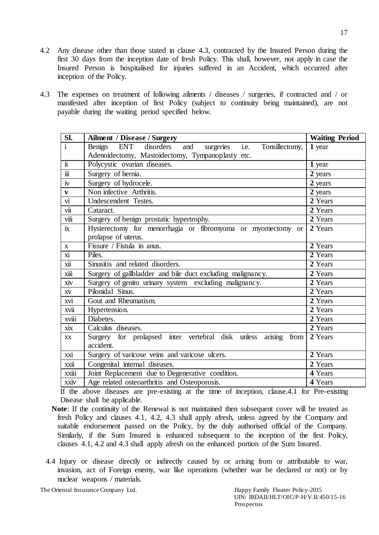- 4.2 Any disease other than those stated in clause 4.3, contracted by the Insured Person during the first 30 days from the inception date of fresh Policy. This shall, however, not apply in case the Insured Person is hospitalised for injuries suffered in an Accident, which occurred after inception of the Policy.
- 4.3 The expenses on treatment of following ailments / diseases / surgeries, if contracted and / or manifested after inception of first Policy (subject to continuity being maintained), are not payable during the waiting period specified below.

| Sl.                            | <b>Ailment / Disease / Surgery</b>                                              | <b>Waiting Period</b> |
|--------------------------------|---------------------------------------------------------------------------------|-----------------------|
| $\overline{i}$                 | i.e.<br><b>ENT</b><br>disorders<br>Benign<br>surgeries<br>Tonsillectomy,<br>and | 1 year                |
|                                | Adenoidectomy, Mastoidectomy, Tympanoplasty etc.                                |                       |
| $\ddot{\mathbf{i}}$            | Polycystic ovarian diseases.                                                    | 1 year                |
| $\overline{\text{iii}}$        | Surgery of hernia.                                                              | 2 years               |
| $\overline{\text{i} \text{v}}$ | Surgery of hydrocele.                                                           | 2 years               |
| V                              | Non infective Arthritis.                                                        | 2 years               |
| $\overline{vi}$                | Undescendent Testes.                                                            | 2 Years               |
| VÏ1                            | Cataract.                                                                       | 2 Years               |
| $\overline{\text{viii}}$       | Surgery of benign prostatic hypertrophy.                                        | 2 Years               |
| $\overline{\text{i} \text{x}}$ | Hysterectomy for menorrhagia or fibromyoma or myomectomy or                     | 2 Years               |
|                                | prolapse of uterus.                                                             |                       |
| $\mathbf X$                    | Fissure / Fistula in anus.                                                      | 2 Years               |
| $\overline{xi}$                | Piles.                                                                          | 2 Years               |
| xii                            | Sinusitis and related disorders.                                                | 2 Years               |
| xiii                           | Surgery of gallbladder and bile duct excluding malignancy.                      | 2 Years               |
| xiv                            | Surgery of genito urinary system excluding malignancy.                          | 2 Years               |
| XV                             | Pilonidal Sinus.                                                                | 2 Years               |
| <b>XVI</b>                     | Gout and Rheumatism.                                                            | 2 Years               |
| xvii                           | Hypertension.                                                                   | 2 Years               |
| xviii                          | Diabetes.                                                                       | 2 Years               |
| xix                            | Calculus diseases.                                                              | 2 Years               |
| XX                             | Surgery for prolapsed inter vertebral disk unless<br>arising<br>from            | 2 Years               |
|                                | accident.                                                                       |                       |
| xxi                            | Surgery of varicose veins and varicose ulcers.                                  | 2 Years               |
| xxii                           | Congenital internal diseases.                                                   | 2 Years               |
| xxiii                          | Joint Replacement due to Degenerative condition.                                | 4 Years               |
| xxiv                           | Age related osteoarthritis and Osteoporosis.                                    | 4 Years               |

If the above diseases are pre-existing at the time of inception, clause.4.1 for Pre-existing Disease shall be applicable.

- **Note**: If the continuity of the Renewal is not maintained then subsequent cover will be treated as fresh Policy and clauses 4.1, 4.2, 4.3 shall apply afresh, unless agreed by the Company and suitable endorsement passed on the Policy, by the duly authorised official of the Company. Similarly, if the Sum Insured is enhanced subsequent to the inception of the first Policy, clauses 4.1, 4.2 and 4.3 shall apply afresh on the enhanced portion of the Sum Insured.
- 4.4 Injury or disease directly or indirectly caused by or arising from or attributable to war, invasion, act of Foreign enemy, war like operations (whether war be declared or not) or by nuclear weapons / materials.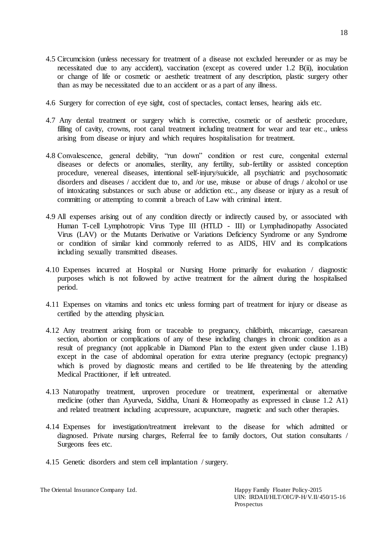- 4.5 Circumcision (unless necessary for treatment of a disease not excluded hereunder or as may be necessitated due to any accident), vaccination (except as covered under 1.2 B(ii), inoculation or change of life or cosmetic or aesthetic treatment of any description, plastic surgery other than as may be necessitated due to an accident or as a part of any illness.
- 4.6 Surgery for correction of eye sight, cost of spectacles, contact lenses, hearing aids etc.
- 4.7 Any dental treatment or surgery which is corrective, cosmetic or of aesthetic procedure, filling of cavity, crowns, root canal treatment including treatment for wear and tear etc., unless arising from disease or injury and which requires hospitalisation for treatment.
- 4.8 Convalescence, general debility, "run down" condition or rest cure, congenital external diseases or defects or anomalies, sterility, any fertility, sub-fertility or assisted conception procedure, venereal diseases, intentional self-injury/suicide, all psychiatric and psychosomatic disorders and diseases / accident due to, and /or use, misuse or abuse of drugs / alcohol or use of intoxicating substances or such abuse or addiction etc., any disease or injury as a result of committing or attempting to commit a breach of Law with criminal intent.
- 4.9 All expenses arising out of any condition directly or indirectly caused by, or associated with Human T-cell Lymphotropic Virus Type III (HTLD - III) or Lymphadinopathy Associated Virus (LAV) or the Mutants Derivative or Variations Deficiency Syndrome or any Syndrome or condition of similar kind commonly referred to as AIDS, HIV and its complications including sexually transmitted diseases.
- 4.10 Expenses incurred at Hospital or Nursing Home primarily for evaluation / diagnostic purposes which is not followed by active treatment for the ailment during the hospitalised period.
- 4.11 Expenses on vitamins and tonics etc unless forming part of treatment for injury or disease as certified by the attending physician.
- 4.12 Any treatment arising from or traceable to pregnancy, childbirth, miscarriage, caesarean section, abortion or complications of any of these including changes in chronic condition as a result of pregnancy (not applicable in Diamond Plan to the extent given under clause 1.1B) except in the case of abdominal operation for extra uterine pregnancy (ectopic pregnancy) which is proved by diagnostic means and certified to be life threatening by the attending Medical Practitioner, if left untreated.
- 4.13 Naturopathy treatment, unproven procedure or treatment, experimental or alternative medicine (other than Ayurveda, Siddha, Unani & Homeopathy as expressed in clause 1.2 A1) and related treatment including acupressure, acupuncture, magnetic and such other therapies.
- 4.14 Expenses for investigation/treatment irrelevant to the disease for which admitted or diagnosed. Private nursing charges, Referral fee to family doctors, Out station consultants / Surgeons fees etc.

Prospectus

4.15 Genetic disorders and stem cell implantation / surgery.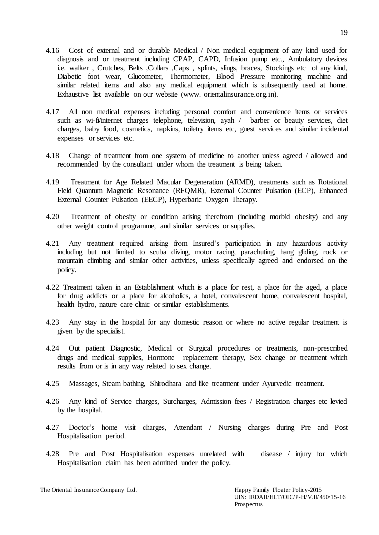- 4.16 Cost of external and or durable Medical / Non medical equipment of any kind used for diagnosis and or treatment including CPAP, CAPD, Infusion pump etc., Ambulatory devices i.e. walker, Crutches, Belts, Collars, Caps, splints, slings, braces, Stockings etc of any kind, Diabetic foot wear, Glucometer, Thermometer, Blood Pressure monitoring machine and similar related items and also any medical equipment which is subsequently used at home. Exhaustive list available on our website (www. orientalinsurance.org.in).
- 4.17 All non medical expenses including personal comfort and convenience items or services such as wi-fi/internet charges telephone, television, ayah / barber or beauty services, diet charges, baby food, cosmetics, napkins, toiletry items etc, guest services and similar incidental expenses or services etc.
- 4.18 Change of treatment from one system of medicine to another unless agreed / allowed and recommended by the consultant under whom the treatment is being taken.
- 4.19 Treatment for Age Related Macular Degeneration (ARMD), treatments such as Rotational Field Quantum Magnetic Resonance (RFQMR), External Counter Pulsation (ECP), Enhanced External Counter Pulsation (EECP), Hyperbaric Oxygen Therapy.
- 4.20 Treatment of obesity or condition arising therefrom (including morbid obesity) and any other weight control programme, and similar services or supplies.
- 4.21 Any treatment required arising from Insured's participation in any hazardous activity including but not limited to scuba diving, motor racing, parachuting, hang gliding, rock or mountain climbing and similar other activities, unless specifically agreed and endorsed on the policy.
- 4.22 Treatment taken in an Establishment which is a place for rest, a place for the aged, a place for drug addicts or a place for alcoholics, a hotel, convalescent home, convalescent hospital, health hydro, nature care clinic or similar establishments.
- 4.23 Any stay in the hospital for any domestic reason or where no active regular treatment is given by the specialist.
- 4.24 Out patient Diagnostic, Medical or Surgical procedures or treatments, non-prescribed drugs and medical supplies, Hormone replacement therapy, Sex change or treatment which results from or is in any way related to sex change.
- 4.25 Massages, Steam bathing, Shirodhara and like treatment under Ayurvedic treatment.
- 4.26 Any kind of Service charges, Surcharges, Admission fees / Registration charges etc levied by the hospital.
- 4.27 Doctor's home visit charges, Attendant / Nursing charges during Pre and Post Hospitalisation period.
- 4.28 Pre and Post Hospitalisation expenses unrelated with disease / injury for which Hospitalisation claim has been admitted under the policy.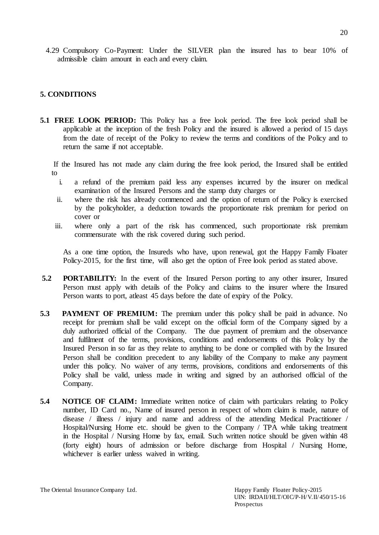4.29 Compulsory Co-Payment: Under the SILVER plan the insured has to bear 10% of admissible claim amount in each and every claim.

# **5. CONDITIONS**

**5.1 FREE LOOK PERIOD:** This Policy has a free look period. The free look period shall be applicable at the inception of the fresh Policy and the insured is allowed a period of 15 days from the date of receipt of the Policy to review the terms and conditions of the Policy and to return the same if not acceptable.

If the Insured has not made any claim during the free look period, the Insured shall be entitled to

- i. a refund of the premium paid less any expenses incurred by the insurer on medical examination of the Insured Persons and the stamp duty charges or
- ii. where the risk has already commenced and the option of return of the Policy is exercised by the policyholder, a deduction towards the proportionate risk premium for period on cover or
- iii. where only a part of the risk has commenced, such proportionate risk premium commensurate with the risk covered during such period.

As a one time option, the Insureds who have, upon renewal, got the Happy Family Floater Policy-2015, for the first time, will also get the option of Free look period as stated above.

- **5.2 PORTABILITY:** In the event of the Insured Person porting to any other insurer, Insured Person must apply with details of the Policy and claims to the insurer where the Insured Person wants to port, atleast 45 days before the date of expiry of the Policy.
- **5.3 PAYMENT OF PREMIUM:** The premium under this policy shall be paid in advance. No receipt for premium shall be valid except on the official form of the Company signed by a duly authorized official of the Company. The due payment of premium and the observance and fulfilment of the terms, provisions, conditions and endorsements of this Policy by the Insured Person in so far as they relate to anything to be done or complied with by the Insured Person shall be condition precedent to any liability of the Company to make any payment under this policy. No waiver of any terms, provisions, conditions and endorsements of this Policy shall be valid, unless made in writing and signed by an authorised official of the Company.
- **5.4 NOTICE OF CLAIM:** Immediate written notice of claim with particulars relating to Policy number, ID Card no., Name of insured person in respect of whom claim is made, nature of disease / illness / injury and name and address of the attending Medical Practitioner / Hospital/Nursing Home etc. should be given to the Company / TPA while taking treatment in the Hospital / Nursing Home by fax, email. Such written notice should be given within 48 (forty eight) hours of admission or before discharge from Hospital / Nursing Home, whichever is earlier unless waived in writing.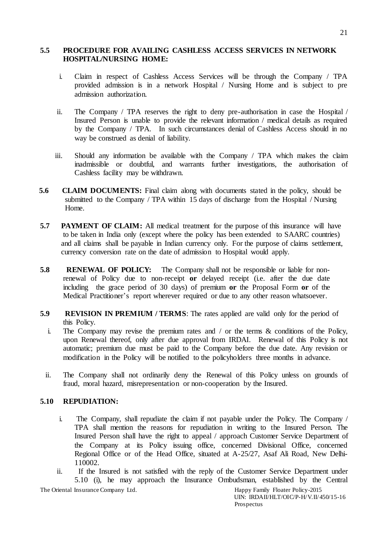## **5.5 PROCEDURE FOR AVAILING CASHLESS ACCESS SERVICES IN NETWORK HOSPITAL/NURSING HOME:**

- i. Claim in respect of Cashless Access Services will be through the Company / TPA provided admission is in a network Hospital / Nursing Home and is subject to pre admission authorization.
- ii. The Company / TPA reserves the right to deny pre-authorisation in case the Hospital / Insured Person is unable to provide the relevant information / medical details as required by the Company / TPA. In such circumstances denial of Cashless Access should in no way be construed as denial of liability.
- iii. Should any information be available with the Company / TPA which makes the claim inadmissible or doubtful, and warrants further investigations, the authorisation of Cashless facility may be withdrawn.
- **5.6 CLAIM DOCUMENTS:** Final claim along with documents stated in the policy, should be submitted to the Company / TPA within 15 days of discharge from the Hospital / Nursing Home.
- **5.7 PAYMENT OF CLAIM:** All medical treatment for the purpose of this insurance will have to be taken in India only (except where the policy has been extended to SAARC countries) and all claims shall be payable in Indian currency only. For the purpose of claims settlement, currency conversion rate on the date of admission to Hospital would apply.
- **5.8** RENEWAL OF POLICY: The Company shall not be responsible or liable for nonrenewal of Policy due to non-receipt **or** delayed receipt (i.e. after the due date including the grace period of 30 days) of premium **or** the Proposal Form **or** of the Medical Practitioner's report wherever required or due to any other reason whatsoever.
- **5.9 REVISION IN PREMIUM / TERMS**: The rates applied are valid only for the period of this Policy.
	- i. The Company may revise the premium rates and / or the terms & conditions of the Policy, upon Renewal thereof, only after due approval from IRDAI. Renewal of this Policy is not automatic; premium due must be paid to the Company before the due date. Any revision or modification in the Policy will be notified to the policyholders three months in advance.
	- ii. The Company shall not ordinarily deny the Renewal of this Policy unless on grounds of fraud, moral hazard, misrepresentation or non-cooperation by the Insured.

# **5.10 REPUDIATION:**

- i. The Company, shall repudiate the claim if not payable under the Policy. The Company / TPA shall mention the reasons for repudiation in writing to the Insured Person. The Insured Person shall have the right to appeal / approach Customer Service Department of the Company at its Policy issuing office, concerned Divisional Office, concerned Regional Office or of the Head Office, situated at A-25/27, Asaf Ali Road, New Delhi-110002.
- ii. If the Insured is not satisfied with the reply of the Customer Service Department under 5.10 (i), he may approach the Insurance Ombudsman, established by the Central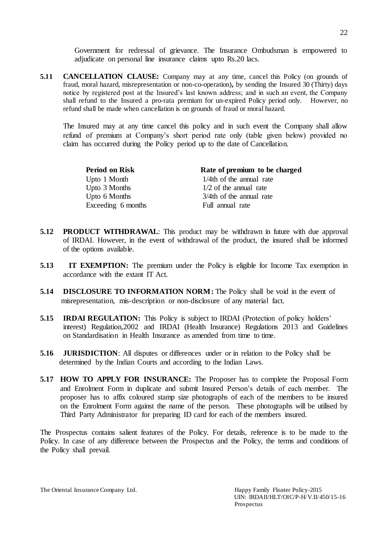Government for redressal of grievance. The Insurance Ombudsman is empowered to adjudicate on personal line insurance claims upto Rs.20 lacs.

**5.11 CANCELLATION CLAUSE:** Company may at any time, cancel this Policy (on grounds of fraud, moral hazard, misrepresentation or non-co-operation)**,** by sending the Insured 30 (Thirty) days notice by registered post at the Insured's last known address; and in such an event, the Company shall refund to the Insured a pro-rata premium for un-expired Policy period only. However, no refund shall be made when cancellation is on grounds of fraud or moral hazard.

 The Insured may at any time cancel this policy and in such event the Company shall allow refund of premium at Company's short period rate only (table given below) provided no claim has occurred during the Policy period up to the date of Cancellation.

| <b>Period on Risk</b> | Rate of premium to be charged |
|-----------------------|-------------------------------|
| Upto 1 Month          | $1/4$ th of the annual rate   |
| Upto 3 Months         | $1/2$ of the annual rate      |
| Upto 6 Months         | $3/4$ th of the annual rate   |
| Exceeding 6 months    | Full annual rate              |

- **5.12 PRODUCT WITHDRAWAL:** This product may be withdrawn in future with due approval of IRDAI. However, in the event of withdrawal of the product, the insured shall be informed of the options available.
- **5.13 IT EXEMPTION:** The premium under the Policy is eligible for Income Tax exemption in accordance with the extant IT Act.
- **5.14 DISCLOSURE TO INFORMATION NORM:** The Policy shall be void in the event of misrepresentation, mis-description or non-disclosure of any material fact.
- **5.15 <b>IRDAI REGULATION:** This Policy is subject to IRDAI (Protection of policy holders' interest) Regulation,2002 and IRDAI (Health Insurance) Regulations 2013 and Guidelines on Standardisation in Health Insurance as amended from time to time.
- **5.16 JURISDICTION:** All disputes or differences under or in relation to the Policy shall be determined by the Indian Courts and according to the Indian Laws.
- **5.17 HOW TO APPLY FOR INSURANCE:** The Proposer has to complete the Proposal Form and Enrolment Form in duplicate and submit Insured Person's details of each member. The proposer has to affix coloured stamp size photographs of each of the members to be insured on the Enrolment Form against the name of the person. These photographs will be utilised by Third Party Administrator for preparing ID card for each of the members insured.

The Prospectus contains salient features of the Policy. For details, reference is to be made to the Policy. In case of any difference between the Prospectus and the Policy, the terms and conditions of the Policy shall prevail.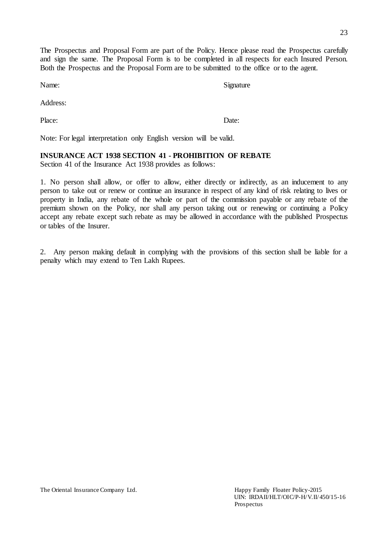The Prospectus and Proposal Form are part of the Policy. Hence please read the Prospectus carefully and sign the same. The Proposal Form is to be completed in all respects for each Insured Person. Both the Prospectus and the Proposal Form are to be submitted to the office or to the agent.

Name: Signature

Address:

Place: Date:

Note: For legal interpretation only English version will be valid.

# **INSURANCE ACT 1938 SECTION 41 - PROHIBITION OF REBATE**

Section 41 of the Insurance Act 1938 provides as follows:

1. No person shall allow, or offer to allow, either directly or indirectly, as an inducement to any person to take out or renew or continue an insurance in respect of any kind of risk relating to lives or property in India, any rebate of the whole or part of the commission payable or any rebate of the premium shown on the Policy, nor shall any person taking out or renewing or continuing a Policy accept any rebate except such rebate as may be allowed in accordance with the published Prospectus or tables of the Insurer.

2. Any person making default in complying with the provisions of this section shall be liable for a penalty which may extend to Ten Lakh Rupees.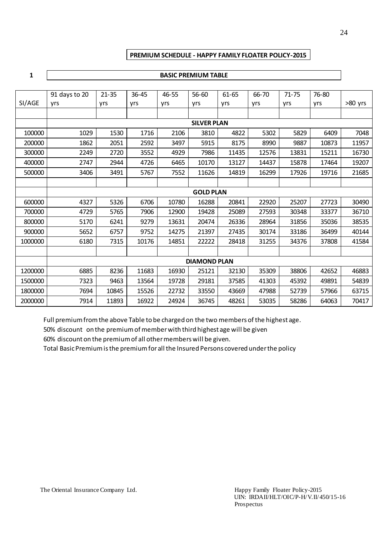# **PREMIUM SCHEDULE - HAPPY FAMILY FLOATER POLICY-2015**

#### **1 BASIC PREMIUM TABLE**

|         | 91 days to 20       | $21 - 35$ | $36 - 45$ | 46-55 | 56-60 | $61 - 65$ | 66-70 | $71 - 75$ | 76-80 |           |
|---------|---------------------|-----------|-----------|-------|-------|-----------|-------|-----------|-------|-----------|
| SI/AGE  | <b>vrs</b>          | yrs       | yrs       | yrs   | yrs   | yrs       | yrs   | yrs       | yrs   | $>80$ yrs |
|         |                     |           |           |       |       |           |       |           |       |           |
|         | <b>SILVER PLAN</b>  |           |           |       |       |           |       |           |       |           |
| 100000  | 1029                | 1530      | 1716      | 2106  | 3810  | 4822      | 5302  | 5829      | 6409  | 7048      |
| 200000  | 1862                | 2051      | 2592      | 3497  | 5915  | 8175      | 8990  | 9887      | 10873 | 11957     |
| 300000  | 2249                | 2720      | 3552      | 4929  | 7986  | 11435     | 12576 | 13831     | 15211 | 16730     |
| 400000  | 2747                | 2944      | 4726      | 6465  | 10170 | 13127     | 14437 | 15878     | 17464 | 19207     |
| 500000  | 3406                | 3491      | 5767      | 7552  | 11626 | 14819     | 16299 | 17926     | 19716 | 21685     |
|         |                     |           |           |       |       |           |       |           |       |           |
|         | <b>GOLD PLAN</b>    |           |           |       |       |           |       |           |       |           |
| 600000  | 4327                | 5326      | 6706      | 10780 | 16288 | 20841     | 22920 | 25207     | 27723 | 30490     |
| 700000  | 4729                | 5765      | 7906      | 12900 | 19428 | 25089     | 27593 | 30348     | 33377 | 36710     |
| 800000  | 5170                | 6241      | 9279      | 13631 | 20474 | 26336     | 28964 | 31856     | 35036 | 38535     |
| 900000  | 5652                | 6757      | 9752      | 14275 | 21397 | 27435     | 30174 | 33186     | 36499 | 40144     |
| 1000000 | 6180                | 7315      | 10176     | 14851 | 22222 | 28418     | 31255 | 34376     | 37808 | 41584     |
|         |                     |           |           |       |       |           |       |           |       |           |
|         | <b>DIAMOND PLAN</b> |           |           |       |       |           |       |           |       |           |
| 1200000 | 6885                | 8236      | 11683     | 16930 | 25121 | 32130     | 35309 | 38806     | 42652 | 46883     |
| 1500000 | 7323                | 9463      | 13564     | 19728 | 29181 | 37585     | 41303 | 45392     | 49891 | 54839     |
| 1800000 | 7694                | 10845     | 15526     | 22732 | 33550 | 43669     | 47988 | 52739     | 57966 | 63715     |
| 2000000 | 7914                | 11893     | 16922     | 24924 | 36745 | 48261     | 53035 | 58286     | 64063 | 70417     |

Full premium from the above Table to be charged on the two members of the highest age.

50% discount on the premium of member with third highest age will be given

60% discount on the premium of all other members will be given.

Total Basic Premium is the premium for all the Insured Persons covered under the policy